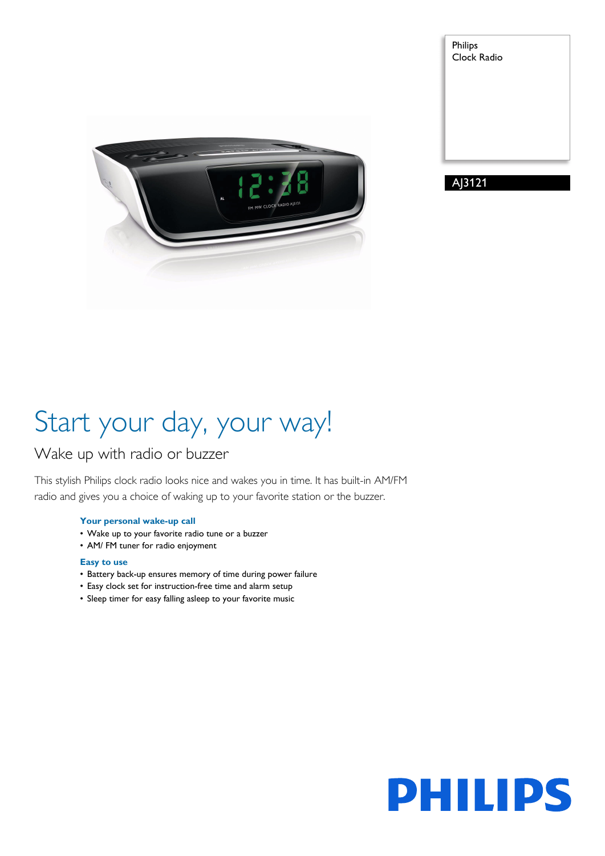





# Start your day, your way!

### Wake up with radio or buzzer

This stylish Philips clock radio looks nice and wakes you in time. It has built-in AM/FM radio and gives you a choice of waking up to your favorite station or the buzzer.

#### **Your personal wake-up call**

- Wake up to your favorite radio tune or a buzzer
- AM/ FM tuner for radio enjoyment

#### **Easy to use**

- Battery back-up ensures memory of time during power failure
- Easy clock set for instruction-free time and alarm setup
- Sleep timer for easy falling asleep to your favorite music